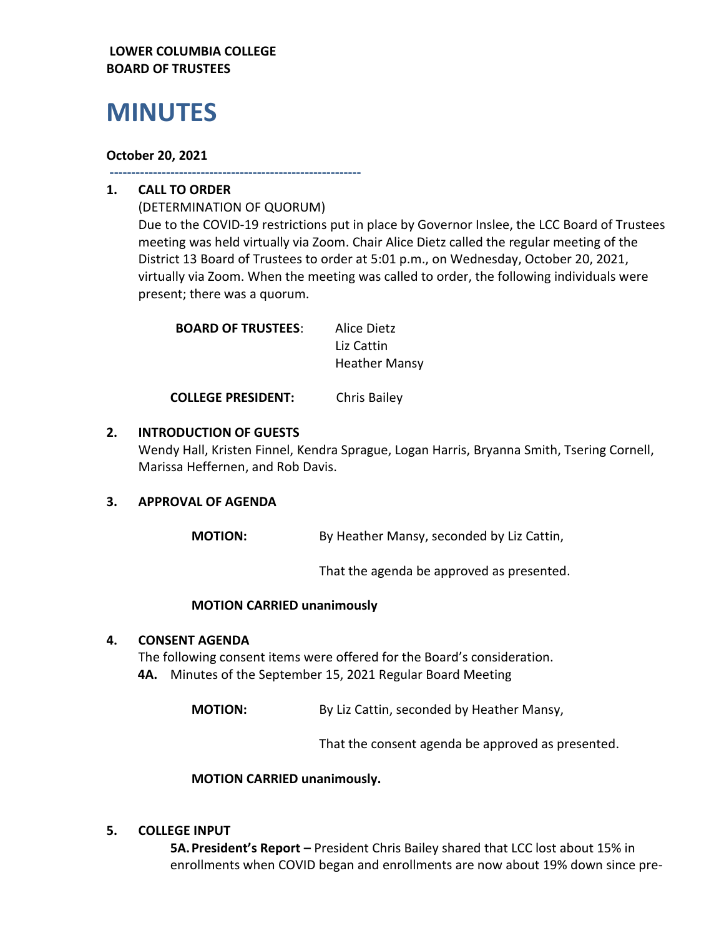## **LOWER COLUMBIA COLLEGE BOARD OF TRUSTEES**

# **MINUTES**

## **October 20, 2021**

**----------------------------------------------------------**

# **1. CALL TO ORDER**

(DETERMINATION OF QUORUM) Due to the COVID-19 restrictions put in place by Governor Inslee, the LCC Board of Trustees meeting was held virtually via Zoom. Chair Alice Dietz called the regular meeting of the District 13 Board of Trustees to order at 5:01 p.m., on Wednesday, October 20, 2021, virtually via Zoom. When the meeting was called to order, the following individuals were present; there was a quorum.

| <b>BOARD OF TRUSTEES:</b> | Alice Dietz          |
|---------------------------|----------------------|
|                           | Liz Cattin           |
|                           | <b>Heather Mansy</b> |

**COLLEGE PRESIDENT:** Chris Bailey

# **2. INTRODUCTION OF GUESTS**

Wendy Hall, Kristen Finnel, Kendra Sprague, Logan Harris, Bryanna Smith, Tsering Cornell, Marissa Heffernen, and Rob Davis.

#### **3. APPROVAL OF AGENDA**

**MOTION:** By Heather Mansy, seconded by Liz Cattin,

That the agenda be approved as presented.

#### **MOTION CARRIED unanimously**

#### **4. CONSENT AGENDA**

The following consent items were offered for the Board's consideration. **4A.** Minutes of the September 15, 2021 Regular Board Meeting

**MOTION:** By Liz Cattin, seconded by Heather Mansy,

That the consent agenda be approved as presented.

#### **MOTION CARRIED unanimously.**

#### **5. COLLEGE INPUT**

**5A.President's Report –** President Chris Bailey shared that LCC lost about 15% in enrollments when COVID began and enrollments are now about 19% down since pre-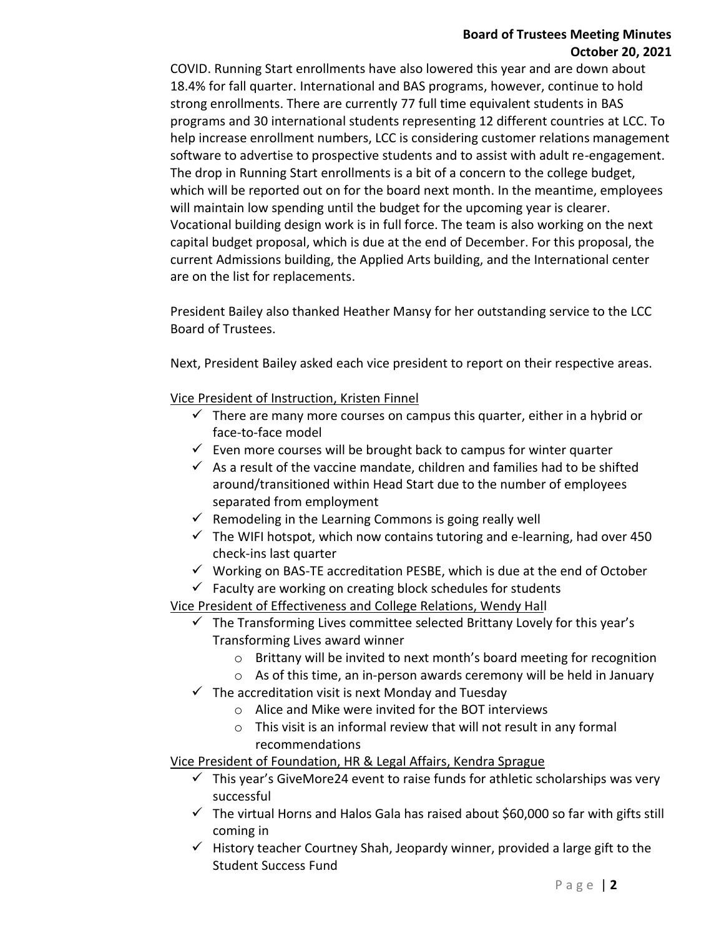## **Board of Trustees Meeting Minutes October 20, 2021**

COVID. Running Start enrollments have also lowered this year and are down about 18.4% for fall quarter. International and BAS programs, however, continue to hold strong enrollments. There are currently 77 full time equivalent students in BAS programs and 30 international students representing 12 different countries at LCC. To help increase enrollment numbers, LCC is considering customer relations management software to advertise to prospective students and to assist with adult re-engagement. The drop in Running Start enrollments is a bit of a concern to the college budget, which will be reported out on for the board next month. In the meantime, employees will maintain low spending until the budget for the upcoming year is clearer. Vocational building design work is in full force. The team is also working on the next capital budget proposal, which is due at the end of December. For this proposal, the current Admissions building, the Applied Arts building, and the International center are on the list for replacements.

President Bailey also thanked Heather Mansy for her outstanding service to the LCC Board of Trustees.

Next, President Bailey asked each vice president to report on their respective areas.

Vice President of Instruction, Kristen Finnel

- $\checkmark$  There are many more courses on campus this quarter, either in a hybrid or face-to-face model
- $\checkmark$  Even more courses will be brought back to campus for winter quarter
- $\checkmark$  As a result of the vaccine mandate, children and families had to be shifted around/transitioned within Head Start due to the number of employees separated from employment
- $\checkmark$  Remodeling in the Learning Commons is going really well
- $\checkmark$  The WIFI hotspot, which now contains tutoring and e-learning, had over 450 check-ins last quarter
- $\checkmark$  Working on BAS-TE accreditation PESBE, which is due at the end of October
- $\checkmark$  Faculty are working on creating block schedules for students

Vice President of Effectiveness and College Relations, Wendy Hall

- $\checkmark$  The Transforming Lives committee selected Brittany Lovely for this year's Transforming Lives award winner
	- $\circ$  Brittany will be invited to next month's board meeting for recognition
	- o As of this time, an in-person awards ceremony will be held in January
- $\checkmark$  The accreditation visit is next Monday and Tuesday
	- o Alice and Mike were invited for the BOT interviews
	- o This visit is an informal review that will not result in any formal recommendations

Vice President of Foundation, HR & Legal Affairs, Kendra Sprague

- $\checkmark$  This year's GiveMore24 event to raise funds for athletic scholarships was very successful
- $\checkmark$  The virtual Horns and Halos Gala has raised about \$60,000 so far with gifts still coming in
- $\checkmark$  History teacher Courtney Shah, Jeopardy winner, provided a large gift to the Student Success Fund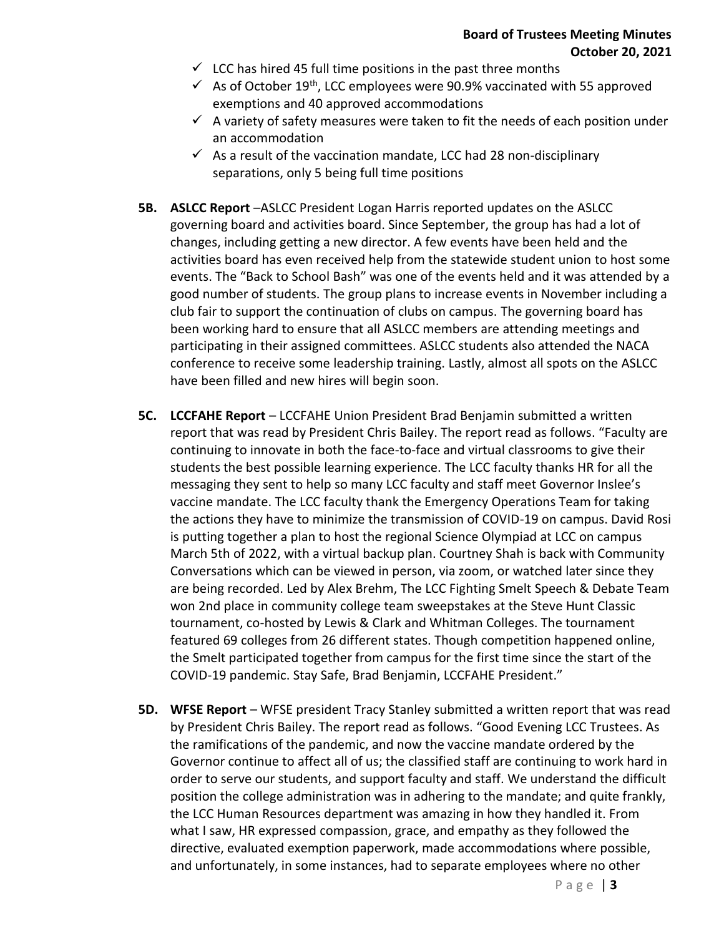- $\checkmark$  LCC has hired 45 full time positions in the past three months
- $\checkmark$  As of October 19<sup>th</sup>, LCC employees were 90.9% vaccinated with 55 approved exemptions and 40 approved accommodations
- $\checkmark$  A variety of safety measures were taken to fit the needs of each position under an accommodation
- $\checkmark$  As a result of the vaccination mandate, LCC had 28 non-disciplinary separations, only 5 being full time positions
- **5B. ASLCC Report** –ASLCC President Logan Harris reported updates on the ASLCC governing board and activities board. Since September, the group has had a lot of changes, including getting a new director. A few events have been held and the activities board has even received help from the statewide student union to host some events. The "Back to School Bash" was one of the events held and it was attended by a good number of students. The group plans to increase events in November including a club fair to support the continuation of clubs on campus. The governing board has been working hard to ensure that all ASLCC members are attending meetings and participating in their assigned committees. ASLCC students also attended the NACA conference to receive some leadership training. Lastly, almost all spots on the ASLCC have been filled and new hires will begin soon.
- **5C. LCCFAHE Report** LCCFAHE Union President Brad Benjamin submitted a written report that was read by President Chris Bailey. The report read as follows. "Faculty are continuing to innovate in both the face-to-face and virtual classrooms to give their students the best possible learning experience. The LCC faculty thanks HR for all the messaging they sent to help so many LCC faculty and staff meet Governor Inslee's vaccine mandate. The LCC faculty thank the Emergency Operations Team for taking the actions they have to minimize the transmission of COVID-19 on campus. David Rosi is putting together a plan to host the regional Science Olympiad at LCC on campus March 5th of 2022, with a virtual backup plan. Courtney Shah is back with Community Conversations which can be viewed in person, via zoom, or watched later since they are being recorded. Led by Alex Brehm, The LCC Fighting Smelt Speech & Debate Team won 2nd place in community college team sweepstakes at the Steve Hunt Classic tournament, co-hosted by Lewis & Clark and Whitman Colleges. The tournament featured 69 colleges from 26 different states. Though competition happened online, the Smelt participated together from campus for the first time since the start of the COVID-19 pandemic. Stay Safe, Brad Benjamin, LCCFAHE President."
- **5D. WFSE Report** WFSE president Tracy Stanley submitted a written report that was read by President Chris Bailey. The report read as follows. "Good Evening LCC Trustees. As the ramifications of the pandemic, and now the vaccine mandate ordered by the Governor continue to affect all of us; the classified staff are continuing to work hard in order to serve our students, and support faculty and staff. We understand the difficult position the college administration was in adhering to the mandate; and quite frankly, the LCC Human Resources department was amazing in how they handled it. From what I saw, HR expressed compassion, grace, and empathy as they followed the directive, evaluated exemption paperwork, made accommodations where possible, and unfortunately, in some instances, had to separate employees where no other